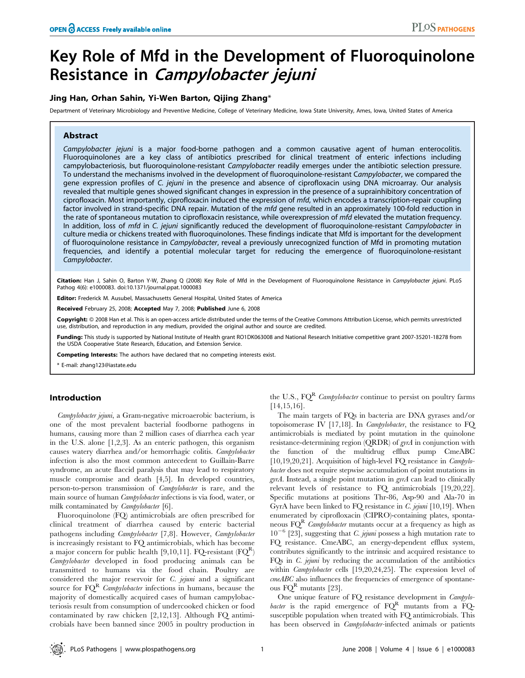# Key Role of Mfd in the Development of Fluoroquinolone Resistance in Campylobacter jejuni

# Jing Han, Orhan Sahin, Yi-Wen Barton, Qijing Zhang\*

Department of Veterinary Microbiology and Preventive Medicine, College of Veterinary Medicine, Iowa State University, Ames, Iowa, United States of America

# Abstract

Campylobacter jejuni is a major food-borne pathogen and a common causative agent of human enterocolitis. Fluoroquinolones are a key class of antibiotics prescribed for clinical treatment of enteric infections including campylobacteriosis, but fluoroquinolone-resistant Campylobacter readily emerges under the antibiotic selection pressure. To understand the mechanisms involved in the development of fluoroquinolone-resistant Campylobacter, we compared the gene expression profiles of C. jejuni in the presence and absence of ciprofloxacin using DNA microarray. Our analysis revealed that multiple genes showed significant changes in expression in the presence of a suprainhibitory concentration of ciprofloxacin. Most importantly, ciprofloxacin induced the expression of mfd, which encodes a transcription-repair coupling factor involved in strand-specific DNA repair. Mutation of the mfd gene resulted in an approximately 100-fold reduction in the rate of spontaneous mutation to ciprofloxacin resistance, while overexpression of mfd elevated the mutation frequency. In addition, loss of mfd in C. jejuni significantly reduced the development of fluoroquinolone-resistant Campylobacter in culture media or chickens treated with fluoroquinolones. These findings indicate that Mfd is important for the development of fluoroquinolone resistance in Campylobacter, reveal a previously unrecognized function of Mfd in promoting mutation frequencies, and identify a potential molecular target for reducing the emergence of fluoroquinolone-resistant Campylobacter.

Citation: Han J, Sahin O, Barton Y-W, Zhang Q (2008) Key Role of Mfd in the Development of Fluoroquinolone Resistance in Campylobacter jejuni. PLoS Pathog 4(6): e1000083. doi:10.1371/journal.ppat.1000083

Editor: Frederick M. Ausubel, Massachusetts General Hospital, United States of America

Received February 25, 2008; Accepted May 7, 2008; Published June 6, 2008

Copyright: @ 2008 Han et al. This is an open-access article distributed under the terms of the Creative Commons Attribution License, which permits unrestricted use, distribution, and reproduction in any medium, provided the original author and source are credited.

**Funding:** This study is supported by National Institute of Health grant RO1DK063008 and National Research Initiative competitive grant 2007-35201-18278 from the USDA Cooperative State Research, Education, and Extension Service.

Competing Interests: The authors have declared that no competing interests exist.

\* E-mail: zhang123@iastate.edu

# Introduction

Campylobacter jejuni, a Gram-negative microaerobic bacterium, is one of the most prevalent bacterial foodborne pathogens in humans, causing more than 2 million cases of diarrhea each year in the U.S. alone [1,2,3]. As an enteric pathogen, this organism causes watery diarrhea and/or hemorrhagic colitis. Campylobacter infection is also the most common antecedent to Guillain-Barre syndrome, an acute flaccid paralysis that may lead to respiratory muscle compromise and death [4,5]. In developed countries, person-to-person transmission of Campylobacter is rare, and the main source of human Campylobacter infections is via food, water, or milk contaminated by Campylobacter [6].

Fluoroquinolone (FQ) antimicrobials are often prescribed for clinical treatment of diarrhea caused by enteric bacterial pathogens including Campylobacter [7,8]. However, Campylobacter is increasingly resistant to FQ antimicrobials, which has become a major concern for public health [9,10,11]. FQ-resistant  $(FQ^R)$ Campylobacter developed in food producing animals can be transmitted to humans via the food chain. Poultry are considered the major reservoir for C. jejuni and a significant source for  $FQ^R$  Campylobacter infections in humans, because the majority of domestically acquired cases of human campylobacteriosis result from consumption of undercooked chicken or food contaminated by raw chicken [2,12,13]. Although FQ antimicrobials have been banned since 2005 in poultry production in the U.S.,  $FQ^{R}$  *Campylobacter* continue to persist on poultry farms [14,15,16].

The main targets of FQs in bacteria are DNA gyrases and/or topoisomerase IV [17,18]. In *Campylobacter*, the resistance to  $FQ$ antimicrobials is mediated by point mutation in the quinolone resistance-determining region (QRDR) of gyrA in conjunction with the function of the multidrug efflux pump CmeABC [10,19,20,21]. Acquisition of high-level FO resistance in *Campylo*bacter does not require stepwise accumulation of point mutations in  $\ell$ yrA. Instead, a single point mutation in  $\ell$ yrA can lead to clinically relevant levels of resistance to FQ antimicrobials [19,20,22]. Specific mutations at positions Thr-86, Asp-90 and Ala-70 in GyrA have been linked to FQ resistance in C. jejuni [10,19]. When enumerated by ciprofloxacin (CIPRO)-containing plates, spontaneous  $FQ^R$  Campylobacter mutants occur at a frequency as high as  $10^{-6}$  [23], suggesting that *C. jejuni* possess a high mutation rate to FQ resistance. CmeABC, an energy-dependent efflux system, contributes significantly to the intrinsic and acquired resistance to FQs in C. jejuni by reducing the accumulation of the antibiotics within Campylobacter cells [19,20,24,25]. The expression level of cmeABC also influences the frequencies of emergence of spontaneous  $FQ^R$  mutants [23].

One unique feature of FQ resistance development in Campylobacter is the rapid emergence of  $FQ<sup>R</sup>$  mutants from a FQsusceptible population when treated with FQ antimicrobials. This has been observed in *Campylobacter*-infected animals or patients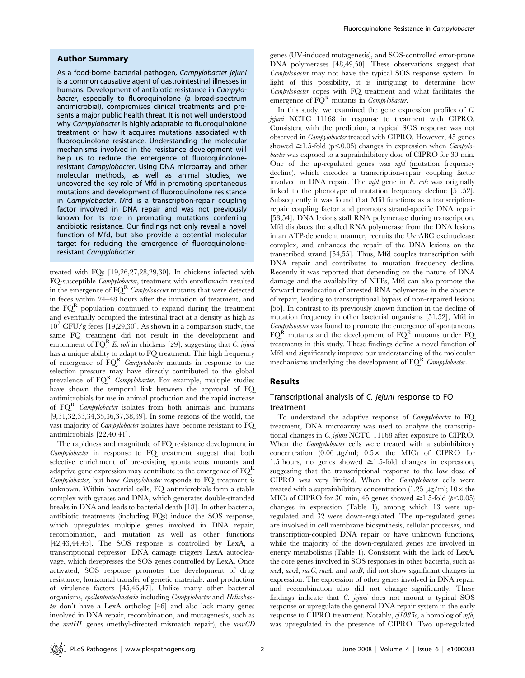## Author Summary

As a food-borne bacterial pathogen, Campylobacter jejuni is a common causative agent of gastrointestinal illnesses in humans. Development of antibiotic resistance in Campylobacter, especially to fluoroquinolone (a broad-spectrum antimicrobial), compromises clinical treatments and presents a major public health threat. It is not well understood why Campylobacter is highly adaptable to fluoroquinolone treatment or how it acquires mutations associated with fluoroquinolone resistance. Understanding the molecular mechanisms involved in the resistance development will help us to reduce the emergence of fluoroquinoloneresistant Campylobacter. Using DNA microarray and other molecular methods, as well as animal studies, we uncovered the key role of Mfd in promoting spontaneous mutations and development of fluoroquinolone resistance in Campylobacter. Mfd is a transcription-repair coupling factor involved in DNA repair and was not previously known for its role in promoting mutations conferring antibiotic resistance. Our findings not only reveal a novel function of Mfd, but also provide a potential molecular target for reducing the emergence of fluoroquinoloneresistant Campylobacter.

treated with FQs [19,26,27,28,29,30]. In chickens infected with FQ-susceptible Campylobacter, treatment with enrofloxacin resulted in the emergence of  $FQ^R$  Campylobacter mutants that were detected in feces within 24–48 hours after the initiation of treatment, and the  $FQ^R$  population continued to expand during the treatment and eventually occupied the intestinal tract at a density as high as  $10^7$  CFU/g feces [19,29,30]. As shown in a comparison study, the same FQ treatment did not result in the development and enrichment of  $FQ^{R} E$ . coli in chickens [29], suggesting that *C. jejuni* has a unique ability to adapt to FQ treatment. This high frequency of emergence of  $FQ^R$  *Campylobacter* mutants in response to the selection pressure may have directly contributed to the global prevalence of  $FQ^R$  *Campylobacter*. For example, multiple studies have shown the temporal link between the approval of FQ antimicrobials for use in animal production and the rapid increase of  $FQ<sup>R</sup>$  *Campylobacter* isolates from both animals and humans [9,31,32,33,34,35,36,37,38,39]. In some regions of the world, the vast majority of Campylobacter isolates have become resistant to FQ antimicrobials [22,40,41].

The rapidness and magnitude of FQ resistance development in Campylobacter in response to FQ treatment suggest that both selective enrichment of pre-existing spontaneous mutants and adaptive gene expression may contribute to the emergence of  $FQ^R$ Campylobacter, but how Campylobacter responds to FQ treatment is unknown. Within bacterial cells, FQ antimicrobials form a stable complex with gyrases and DNA, which generates double-stranded breaks in DNA and leads to bacterial death [18]. In other bacteria, antibiotic treatments (including FQs) induce the SOS response, which upregulates multiple genes involved in DNA repair, recombination, and mutation as well as other functions [42,43,44,45]. The SOS response is controlled by LexA, a transcriptional repressor. DNA damage triggers LexA autocleavage, which derepresses the SOS genes controlled by LexA. Once activated, SOS response promotes the development of drug resistance, horizontal transfer of genetic materials, and production of virulence factors [45,46,47]. Unlike many other bacterial organisms, epsilonproteobacteria including Campylobacter and Helicobacter don't have a LexA ortholog [46] and also lack many genes involved in DNA repair, recombination, and mutagenesis, such as the mutHL genes (methyl-directed mismatch repair), the umuCD

genes (UV-induced mutagenesis), and SOS-controlled error-prone DNA polymerases [48,49,50]. These observations suggest that Campylobacter may not have the typical SOS response system. In light of this possibility, it is intriguing to determine how Campylobacter copes with FQ treatment and what facilitates the emergence of  $\overline{FQ}^R$  mutants in *Campylobacter*.

In this study, we examined the gene expression profiles of C. jejuni NCTC 11168 in response to treatment with CIPRO. Consistent with the prediction, a typical SOS response was not observed in Campylobacter treated with CIPRO. However, 45 genes showed  $\geq$ 1.5-fold (p<0.05) changes in expression when *Campylo*bacter was exposed to a suprainhibitory dose of CIPRO for 30 min. One of the up-regulated genes was  $mfd$  (mutation frequency decline), which encodes a transcription-repair coupling factor involved in DNA repair. The mfd gene in E. coli was originally linked to the phenotype of mutation frequency decline [51,52]. Subsequently it was found that Mfd functions as a transcriptionrepair coupling factor and promotes strand-specific DNA repair [53,54]. DNA lesions stall RNA polymerase during transcription. Mfd displaces the stalled RNA polymerase from the DNA lesions in an ATP-dependent manner, recruits the UvrABC excinuclease complex, and enhances the repair of the DNA lesions on the transcribed strand [54,55]. Thus, Mfd couples transcription with DNA repair and contributes to mutation frequency decline. Recently it was reported that depending on the nature of DNA damage and the availability of NTPs, Mfd can also promote the forward translocation of arrested RNA polymerase in the absence of repair, leading to transcriptional bypass of non-repaired lesions [55]. In contrast to its previously known function in the decline of mutation frequency in other bacterial organisms [51,52], Mfd in Campylobacter was found to promote the emergence of spontaneous  $FQ^{R}$  mutants and the development of  $FQ^{R}$  mutants under FQ treatments in this study. These findings define a novel function of Mfd and significantly improve our understanding of the molecular mechanisms underlying the development of  $FQ<sup>R</sup>$  Campylobacter.

#### Results

# Transcriptional analysis of C. jejuni response to FQ treatment

To understand the adaptive response of Campylobacter to FQ treatment, DNA microarray was used to analyze the transcriptional changes in C. jejuni NCTC 11168 after exposure to CIPRO. When the *Campylobacter* cells were treated with a subinhibitory concentration  $(0.06 \text{ µg/ml}; 0.5 \times \text{ the MIC})$  of CIPRO for 1.5 hours, no genes showed  $\geq$ 1.5-fold changes in expression, suggesting that the transcriptional response to the low dose of CIPRO was very limited. When the Campylobacter cells were treated with a suprainhibitory concentration (1.25  $\mu$ g/ml; 10 $\times$  the MIC) of CIPRO for 30 min, 45 genes showed  $\geq$  1.5-fold ( $p$ <0.05) changes in expression (Table 1), among which 13 were upregulated and 32 were down-regulated. The up-regulated genes are involved in cell membrane biosynthesis, cellular processes, and transcription-coupled DNA repair or have unknown functions, while the majority of the down-regulated genes are involved in energy metabolisms (Table 1). Consistent with the lack of LexA, the core genes involved in SOS responses in other bacteria, such as recA, uvrA, ruvC, ruvA, and ruvB, did not show significant changes in expression. The expression of other genes involved in DNA repair and recombination also did not change significantly. These findings indicate that C. jejuni does not mount a typical SOS response or upregulate the general DNA repair system in the early response to CIPRO treatment. Notably,  $cj1085c$ , a homolog of mfd, was upregulated in the presence of CIPRO. Two up-regulated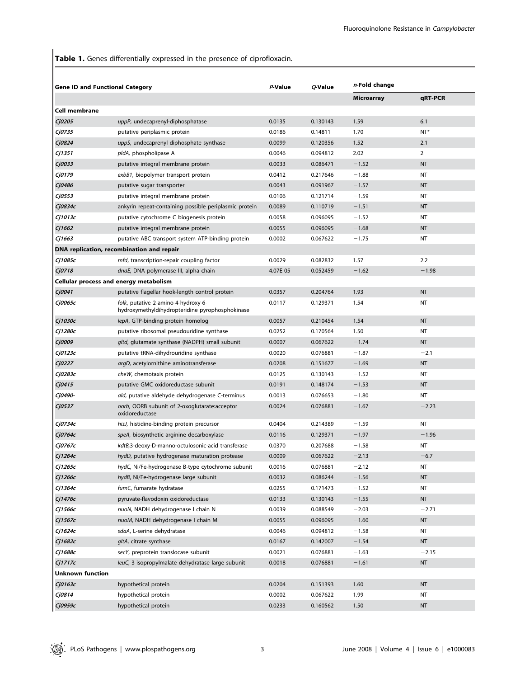Table 1. Genes differentially expressed in the presence of ciprofloxacin.

|                         | <b>Gene ID and Functional Category</b>                                                 | P-Value  | Q-Value  | n-Fold change     |                |
|-------------------------|----------------------------------------------------------------------------------------|----------|----------|-------------------|----------------|
|                         |                                                                                        |          |          | <b>Microarray</b> | qRT-PCR        |
| Cell membrane           |                                                                                        |          |          |                   |                |
| Cj0205                  | uppP, undecaprenyl-diphosphatase                                                       | 0.0135   | 0.130143 | 1.59              | 6.1            |
| Cj0735                  | putative periplasmic protein                                                           | 0.0186   | 0.14811  | 1.70              | $NT*$          |
| Cj0824                  | uppS, undecaprenyl diphosphate synthase                                                | 0.0099   | 0.120356 | 1.52              | 2.1            |
| Cj1351                  | pldA, phospholipase A                                                                  | 0.0046   | 0.094812 | 2.02              | $\overline{2}$ |
| Cj0033                  | putative integral membrane protein                                                     | 0.0033   | 0.086471 | $-1.52$           | <b>NT</b>      |
| Cj0179                  | exbB1, biopolymer transport protein                                                    | 0.0412   | 0.217646 | $-1.88$           | NT             |
| Cj0486                  | putative sugar transporter                                                             | 0.0043   | 0.091967 | $-1.57$           | <b>NT</b>      |
| Cj0553                  | putative integral membrane protein                                                     | 0.0106   | 0.121714 | $-1.59$           | NT             |
| Cj0834c                 | ankyrin repeat-containing possible periplasmic protein                                 | 0.0089   | 0.110719 | $-1.51$           | <b>NT</b>      |
| Cj1013c                 | putative cytochrome C biogenesis protein                                               | 0.0058   | 0.096095 | $-1.52$           | NT             |
| Cj1662                  | putative integral membrane protein                                                     | 0.0055   | 0.096095 | $-1.68$           | <b>NT</b>      |
| Cj1663                  | putative ABC transport system ATP-binding protein                                      | 0.0002   | 0.067622 | $-1.75$           | <b>NT</b>      |
|                         | DNA replication, recombination and repair                                              |          |          |                   |                |
| Cj1085c                 | mfd, transcription-repair coupling factor                                              | 0.0029   | 0.082832 | 1.57              | 2.2            |
| Cj0718                  | dnaE, DNA polymerase III, alpha chain                                                  | 4.07E-05 | 0.052459 | $-1.62$           | $-1.98$        |
|                         | Cellular process and energy metabolism                                                 |          |          |                   |                |
| Cj0041                  | putative flagellar hook-length control protein                                         | 0.0357   | 0.204764 | 1.93              | <b>NT</b>      |
| Cj0065c                 | folk, putative 2-amino-4-hydroxy-6-<br>hydroxymethyldihydropteridine pyrophosphokinase | 0.0117   | 0.129371 | 1.54              | NT             |
| Cj1030c                 | lepA, GTP-binding protein homolog                                                      | 0.0057   | 0.210454 | 1.54              | <b>NT</b>      |
| Cj1280c                 | putative ribosomal pseudouridine synthase                                              | 0.0252   | 0.170564 | 1.50              | NT             |
| Cj0009                  | gltd, glutamate synthase (NADPH) small subunit                                         | 0.0007   | 0.067622 | $-1.74$           | <b>NT</b>      |
| Cj0123c                 | putative tRNA-dihydrouridine synthase                                                  | 0.0020   | 0.076881 | $-1.87$           | $-2.1$         |
| Cj0227                  | argD, acetylornithine aminotransferase                                                 | 0.0208   | 0.151677 | $-1.69$           | <b>NT</b>      |
| Cj0283c                 | cheW, chemotaxis protein                                                               | 0.0125   | 0.130143 | $-1.52$           | NT             |
| Cj0415                  | putative GMC oxidoreductase subunit                                                    | 0.0191   | 0.148174 | $-1.53$           | <b>NT</b>      |
| Cj0490-                 | ald, putative aldehyde dehydrogenase C-terminus                                        | 0.0013   | 0.076653 | $-1.80$           | <b>NT</b>      |
| Cj0537                  | oorb, OORB subunit of 2-oxoglutarate:acceptor<br>oxidoreductase                        | 0.0024   | 0.076881 | $-1.67$           | $-2.23$        |
| Cj0734c                 | hisJ, histidine-binding protein precursor                                              | 0.0404   | 0.214389 | $-1.59$           | NT             |
| Cj0764c                 | speA, biosynthetic arginine decarboxylase                                              | 0.0116   | 0.129371 | $-1.97$           | $-1.96$        |
| Cj0767c                 | kdtB,3-deoxy-D-manno-octulosonic-acid transferase                                      | 0.0370   | 0.207688 | $-1.58$           | NT             |
| Cj1264c                 | hydD, putative hydrogenase maturation protease                                         | 0.0009   | 0.067622 | $-2.13$           | $-6.7$         |
| Cj1265c                 | hydC, Ni/Fe-hydrogenase B-type cytochrome subunit                                      | 0.0016   | 0.076881 | $-2.12$           | NT             |
| Сј1266с                 | hydB, Ni/Fe-hydrogenase large subunit                                                  | 0.0032   | 0.086244 | $-1.56$           | NT             |
| Cj1364c                 | fumC, fumarate hydratase                                                               | 0.0255   | 0.171473 | $-1.52$           | NT             |
| Cj1476c                 | pyruvate-flavodoxin oxidoreductase                                                     | 0.0133   | 0.130143 | $-1.55$           | NT             |
| Сј1566с                 | nuoN, NADH dehydrogenase I chain N                                                     | 0.0039   | 0.088549 | $-2.03$           | $-2.71$        |
| Cj1567c                 | nuoM, NADH dehydrogenase I chain M                                                     | 0.0055   | 0.096095 | $-1.60$           | NT             |
| Cj1624c                 | sdaA, L-serine dehydratase                                                             | 0.0046   | 0.094812 | $-1.58$           | NT             |
| Cj1682c                 | gltA, citrate synthase                                                                 | 0.0167   | 0.142007 | $-1.54$           | <b>NT</b>      |
| Cj1688c                 | secY, preprotein translocase subunit                                                   | 0.0021   | 0.076881 | $-1.63$           | $-2.15$        |
| Cj1717c                 | leuC, 3-isopropylmalate dehydratase large subunit                                      | 0.0018   | 0.076881 | $-1.61$           | <b>NT</b>      |
| <b>Unknown function</b> |                                                                                        |          |          |                   |                |
| Cj0163c                 | hypothetical protein                                                                   | 0.0204   | 0.151393 | 1.60              | NT             |
| Cj0814                  | hypothetical protein                                                                   | 0.0002   | 0.067622 | 1.99              | NT             |
| Cj0959c                 | hypothetical protein                                                                   | 0.0233   | 0.160562 | 1.50              | NT             |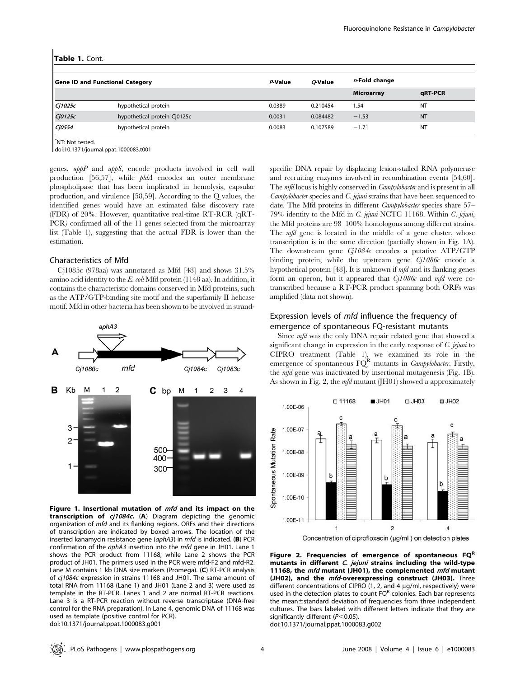|  | Table 1. Cont. |  |
|--|----------------|--|
|  |                |  |

| <b>Gene ID and Functional Category</b> | P-Value                      | O-Value | $n$ -Fold change |                   |           |
|----------------------------------------|------------------------------|---------|------------------|-------------------|-----------|
|                                        |                              |         |                  | <b>Microarray</b> | qRT-PCR   |
| Cj1025c                                | hypothetical protein         | 0.0389  | 0.210454         | 1.54              | <b>NT</b> |
| Cj0125c                                | hypothetical protein Cj0125c | 0.0031  | 0.084482         | $-1.53$           | <b>NT</b> |
| Cj0554                                 | hypothetical protein         | 0.0083  | 0.107589         | $-1.71$           | <b>NT</b> |

\* NT: Not tested.

doi:10.1371/journal.ppat.1000083.t001

genes, uppP and uppS, encode products involved in cell wall production [56,57], while *pldA* encodes an outer membrane phospholipase that has been implicated in hemolysis, capsular production, and virulence [58,59]. According to the Q values, the identified genes would have an estimated false discovery rate (FDR) of 20%. However, quantitative real-time RT-RCR (qRT-PCR) confirmed all of the 11 genes selected from the microarray list (Table 1), suggesting that the actual FDR is lower than the estimation.

# Characteristics of Mfd

Cj1085c (978aa) was annotated as Mfd [48] and shows 31.5% amino acid identity to the E. coli Mfd protein (1148 aa). In addition, it contains the characteristic domains conserved in Mfd proteins, such as the ATP/GTP-binding site motif and the superfamily II helicase motif. Mfd in other bacteria has been shown to be involved in strand-



Figure 1. Insertional mutation of  $mfd$  and its impact on the transcription of cj1084c. (A) Diagram depicting the genomic organization of mfd and its flanking regions. ORFs and their directions of transcription are indicated by boxed arrows. The location of the inserted kanamycin resistance gene (aphA3) in mfd is indicated. (B) PCR confirmation of the aphA3 insertion into the mfd gene in JH01. Lane 1 shows the PCR product from 11168, while Lane 2 shows the PCR product of JH01. The primers used in the PCR were mfd-F2 and mfd-R2. Lane M contains 1 kb DNA size markers (Promega). (C) RT-PCR analysis of cj1084c expression in strains 11168 and JH01. The same amount of total RNA from 11168 (Lane 1) and JH01 (Lane 2 and 3) were used as template in the RT-PCR. Lanes 1 and 2 are normal RT-PCR reactions. Lane 3 is a RT-PCR reaction without reverse transcriptase (DNA-free control for the RNA preparation). In Lane 4, genomic DNA of 11168 was used as template (positive control for PCR). doi:10.1371/journal.ppat.1000083.g001

specific DNA repair by displacing lesion-stalled RNA polymerase and recruiting enzymes involved in recombination events [54,60]. The mfd locus is highly conserved in *Campylobacter* and is present in all  $Campylobacter$  species and  $C.$  jejuni strains that have been sequenced to date. The Mfd proteins in different *Campylobacter* species share 57– 79% identity to the Mfd in C. jejuni NCTC 11168. Within C. jejuni, the Mfd proteins are 98–100% homologous among different strains. The *mfd* gene is located in the middle of a gene cluster, whose transcription is in the same direction (partially shown in Fig. 1A). The downstream gene Cj1084c encodes a putative ATP/GTP binding protein, while the upstream gene  $C_11086c$  encode a hypothetical protein [48]. It is unknown if mfd and its flanking genes form an operon, but it appeared that  $C_11086c$  and mfd were cotranscribed because a RT-PCR product spanning both ORFs was amplified (data not shown).

# Expression levels of mfd influence the frequency of emergence of spontaneous FQ-resistant mutants

Since *mfd* was the only DNA repair related gene that showed a significant change in expression in the early response of C. jejuni to CIPRO treatment (Table 1), we examined its role in the emergence of spontaneous  $FQ^R$  mutants in *Campylobacter*. Firstly, the mfd gene was inactivated by insertional mutagenesis (Fig. 1B). As shown in Fig. 2, the *mfd* mutant (JH01) showed a approximately





Figure 2. Frequencies of emergence of spontaneous  $FQ^R$ mutants in different C. jejuni strains including the wild-type 11168, the *mfd* mutant (JH01), the complemented *mfd* mutant (JH02), and the *mfd*-overexpressing construct (JH03). Three different concentrations of CIPRO (1, 2, and 4  $\mu$ g/ml, respectively) were used in the detection plates to count  $FQ<sup>R</sup>$  colonies. Each bar represents the mean<sup>+</sup>standard deviation of frequencies from three independent cultures. The bars labeled with different letters indicate that they are significantly different ( $P<$ 0.05).

doi:10.1371/journal.ppat.1000083.g002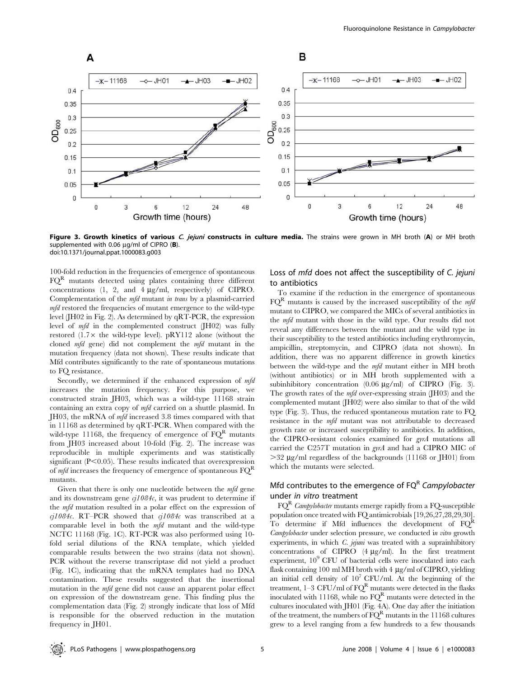

Figure 3. Growth kinetics of various C. jejuni constructs in culture media. The strains were grown in MH broth (A) or MH broth supplemented with 0.06  $\mu$ g/ml of CIPRO (B). doi:10.1371/journal.ppat.1000083.g003

100-fold reduction in the frequencies of emergence of spontaneous  $FQ<sup>R</sup>$  mutants detected using plates containing three different concentrations  $(1, 2, and 4 \mu g/ml, respectively)$  of CIPRO. Complementation of the mfd mutant in trans by a plasmid-carried mfd restored the frequencies of mutant emergence to the wild-type level (JH02 in Fig. 2). As determined by qRT-PCR, the expression level of mfd in the complemented construct (JH02) was fully restored  $(1.7 \times$  the wild-type level). pRY112 alone (without the cloned mfd gene) did not complement the mfd mutant in the mutation frequency (data not shown). These results indicate that Mfd contributes significantly to the rate of spontaneous mutations to FQ resistance.

Secondly, we determined if the enhanced expression of  $mfd$ increases the mutation frequency. For this purpose, we constructed strain JH03, which was a wild-type 11168 strain containing an extra copy of mfd carried on a shuttle plasmid. In JH03, the mRNA of mfd increased 3.8 times compared with that in 11168 as determined by qRT-PCR. When compared with the wild-type 11168, the frequency of emergence of  $FQ<sup>R</sup>$  mutants from JH03 increased about 10-fold (Fig. 2). The increase was reproducible in multiple experiments and was statistically significant  $(P<0.05)$ . These results indicated that overexpression of *mfd* increases the frequency of emergence of spontaneous  $FQ<sup>R</sup>$ mutants.

Given that there is only one nucleotide between the mfd gene and its downstream gene  $c_l1084c$ , it was prudent to determine if the mfd mutation resulted in a polar effect on the expression of cj1084c. RT–PCR showed that  $q1084c$  was transcribed at a comparable level in both the mfd mutant and the wild-type NCTC 11168 (Fig. 1C). RT-PCR was also performed using 10 fold serial dilutions of the RNA template, which yielded comparable results between the two strains (data not shown). PCR without the reverse transcriptase did not yield a product (Fig. 1C), indicating that the mRNA templates had no DNA contamination. These results suggested that the insertional mutation in the mfd gene did not cause an apparent polar effect on expression of the downstream gene. This finding plus the complementation data (Fig. 2) strongly indicate that loss of Mfd is responsible for the observed reduction in the mutation frequency in JH01.

# Loss of mfd does not affect the susceptibility of C. jejuni to antibiotics

To examine if the reduction in the emergence of spontaneous  $FQ<sup>R</sup>$  mutants is caused by the increased susceptibility of the *mfd* mutant to CIPRO, we compared the MICs of several antibiotics in the mfd mutant with those in the wild type. Our results did not reveal any differences between the mutant and the wild type in their susceptibility to the tested antibiotics including erythromycin, ampicillin, streptomycin, and CIPRO (data not shown). In addition, there was no apparent difference in growth kinetics between the wild-type and the mfd mutant either in MH broth (without antibiotics) or in MH broth supplemented with a subinhibitory concentration  $(0.06 \text{ µg/ml})$  of CIPRO (Fig. 3). The growth rates of the *mfd* over-expressing strain (JH03) and the complemented mutant (JH02) were also similar to that of the wild type (Fig. 3). Thus, the reduced spontaneous mutation rate to FQ resistance in the mfd mutant was not attributable to decreased growth rate or increased susceptibility to antibiotics. In addition, the CIPRO-resistant colonies examined for gyrA mutations all carried the C257T mutation in gyrA and had a CIPRO MIC of  $>32 \mu$ g/ml regardless of the backgrounds (11168 or JH01) from which the mutants were selected.

# Mfd contributes to the emergence of  $FQ<sup>R</sup>$  Campylobacter under in vitro treatment

 $FQ<sup>R</sup>$  Campylobacter mutants emerge rapidly from a FQ-susceptible population once treated with FQ antimicrobials [19,26,27,28,29,30]. To determine if Mfd influences the development of  $FQ^R$ Campylobacter under selection pressure, we conducted in vitro growth experiments, in which  $C$ . jejuni was treated with a suprainhibitory concentrations of CIPRO  $(4 \mu g/ml)$ . In the first treatment experiment,  $10<sup>9</sup>$  CFU of bacterial cells were inoculated into each flask containing 100 ml MH broth with  $4 \mu$ g/ml of CIPRO, yielding an initial cell density of  $10^7$  CFU/ml. At the beginning of the treatment,  $1-3$  CFU/ml of  $FQ^R$  mutants were detected in the flasks inoculated with 11168, while no  $FQ^R$  mutants were detected in the cultures inoculated with JH01 (Fig. 4A). One day after the initiation of the treatment, the numbers of  $FQ<sup>R</sup>$  mutants in the 11168 cultures grew to a level ranging from a few hundreds to a few thousands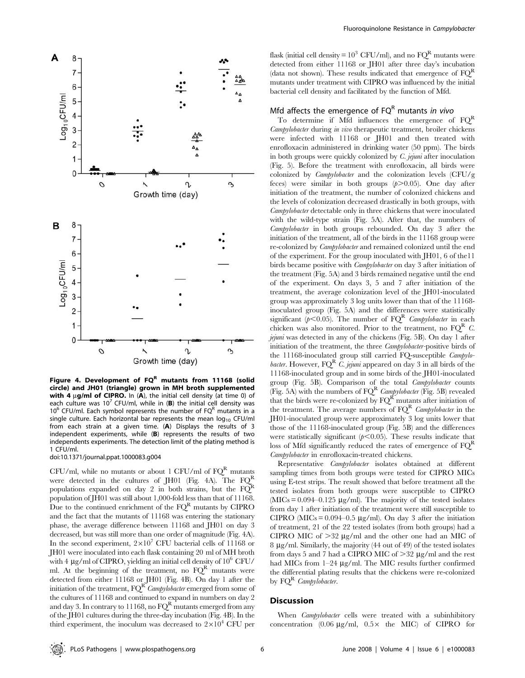

Figure 4. Development of  $FQ<sup>R</sup>$  mutants from 11168 (solid circle) and JH01 (triangle) grown in MH broth supplemented with 4  $\mu$ q/ml of CIPRO. In (A), the initial cell density (at time 0) of each culture was 10<sup>7</sup> CFU/ml, while in (B) the initial cell density was  $10^6$  CFU/ml. Each symbol represents the number of FQ<sup>R</sup> mutants in a single culture. Each horizontal bar represents the mean  $log_{10}$  CFU/ml from each strain at a given time. (A) Displays the results of 3 independent experiments, while (B) represents the results of two independents experiments. The detection limit of the plating method is 1 CFU/ml.

doi:10.1371/journal.ppat.1000083.g004

CFU/ml, while no mutants or about 1 CFU/ml of  $FQ<sup>R</sup>$  mutants were detected in the cultures of JH01 (Fig. 4A). The  $FQ<sup>R</sup>$ populations expanded on day 2 in both strains, but the  $F\widetilde{Q}^{R}$ population of JH01 was still about 1,000-fold less than that of 11168. Due to the continued enrichment of the  $FQ<sup>R</sup>$  mutants by CIPRO and the fact that the mutants of 11168 was entering the stationary phase, the average difference between 11168 and JH01 on day 3 decreased, but was still more than one order of magnitude (Fig. 4A). In the second experiment,  $2\times10^7$  CFU bacterial cells of 11168 or JH01 were inoculated into each flask containing 20 ml of MH broth with 4  $\mu$ g/ml of CIPRO, yielding an initial cell density of 10<sup>6</sup> CFU/ ml. At the beginning of the treatment, no  $FQ<sup>R</sup>$  mutants were detected from either 11168 or JH01 (Fig. 4B). On day 1 after the initiation of the treatment,  $FQ^{R}$  Campylobacter emerged from some of the cultures of 11168 and continued to expand in numbers on day 2 and day 3. In contrary to 11168, no  $FQ^R$  mutants emerged from any of the JH01 cultures during the three-day incubation (Fig. 4B). In the third experiment, the inoculum was decreased to  $2\times10^4$  CFU per

flask (initial cell density =  $10^3$  CFU/ml), and no FQ<sup>R</sup> mutants were detected from either 11168 or JH01 after three day's incubation (data not shown). These results indicated that emergence of  $FQ<sup>R</sup>$ mutants under treatment with CIPRO was influenced by the initial bacterial cell density and facilitated by the function of Mfd.

# Mfd affects the emergence of  $FQ<sup>R</sup>$  mutants in vivo

To determine if Mfd influences the emergence of  $FO<sup>R</sup>$ Campylobacter during in vivo therapeutic treatment, broiler chickens were infected with 11168 or JH01 and then treated with enrofloxacin administered in drinking water (50 ppm). The birds in both groups were quickly colonized by C. jejuni after inoculation (Fig. 5). Before the treatment with enrofloxacin, all birds were colonized by Campylobacter and the colonization levels (CFU/g feces) were similar in both groups  $(p>0.05)$ . One day after initiation of the treatment, the number of colonized chickens and the levels of colonization decreased drastically in both groups, with Campylobacter detectable only in three chickens that were inoculated with the wild-type strain (Fig. 5A). After that, the numbers of Campylobacter in both groups rebounded. On day 3 after the initiation of the treatment, all of the birds in the 11168 group were re-colonized by Campylobacter and remained colonized until the end of the experiment. For the group inoculated with JH01, 6 of the11 birds became positive with *Campylobacter* on day 3 after initiation of the treatment (Fig. 5A) and 3 birds remained negative until the end of the experiment. On days 3, 5 and 7 after initiation of the treatment, the average colonization level of the JH01-inoculated group was approximately 3 log units lower than that of the 11168 inoculated group (Fig. 5A) and the differences were statistically significant ( $p<0.05$ ). The number of  $FQ^R$  Campylobacter in each chicken was also monitored. Prior to the treatment, no  $FQ^{R}$  C. jejuni was detected in any of the chickens (Fig. 5B). On day 1 after initiation of the treatment, the three Campylobacter-positive birds of the 11168-inoculated group still carried FQ-susceptible Campylobacter. However,  $FQ^{R}$  C. jejuni appeared on day 3 in all birds of the 11168-inoculated group and in some birds of the JH01-inoculated group (Fig. 5B). Comparison of the total Campylobacter counts (Fig. 5A) with the numbers of  $FQ^R$  Campylobacter (Fig. 5B) revealed that the birds were re-colonized by  $FQ^R$  mutants after initiation of the treatment. The average numbers of  $FQ^R$  Campylobacter in the JH01-inoculated group were approximately 3 log units lower that those of the 11168-inoculated group (Fig. 5B) and the differences were statistically significant  $(p<0.05)$ . These results indicate that loss of Mfd significantly reduced the rates of emergence of  $FO<sup>R</sup>$ Campylobacter in enrofloxacin-treated chickens.

Representative Campylobacter isolates obtained at different sampling times from both groups were tested for CIPRO MICs using E-test strips. The result showed that before treatment all the tested isolates from both groups were susceptible to CIPRO ( $MICs = 0.094 - 0.125 \mu g/ml$ ). The majority of the tested isolates from day 1 after initiation of the treatment were still susceptible to CIPRO ( $MICs = 0.094-0.5 \mu g/ml$ ). On day 3 after the initiation of treatment, 21 of the 22 tested isolates (from both groups) had a CIPRO MIC of  $>32 \mu g/ml$  and the other one had an MIC of 8 mg/ml. Similarly, the majority (44 out of 49) of the tested isolates from days 5 and 7 had a CIPRO MIC of  $>32 \mu g/ml$  and the rest had MICs from  $1-24 \mu g/ml$ . The MIC results further confirmed the differential plating results that the chickens were re-colonized by FQR Campylobacter.

#### **Discussion**

When *Campylobacter* cells were treated with a subinhibitory concentration (0.06  $\mu$ g/ml, 0.5× the MIC) of CIPRO for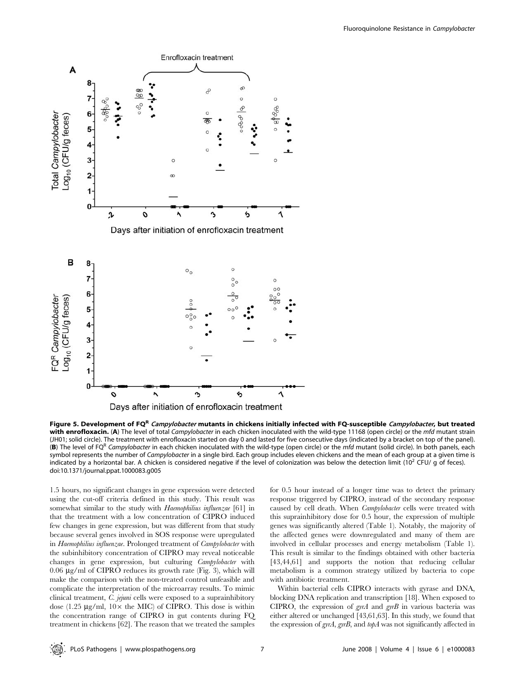

Figure 5. Development of FQR Campylobacter mutants in chickens initially infected with FQ-susceptible Campylobacter, but treated with enrofloxacin. (A) The level of total Campylobacter in each chicken inoculated with the wild-type 11168 (open circle) or the mfd mutant strain (JH01; solid circle). The treatment with enrofloxacin started on day 0 and lasted for five consecutive days (indicated by a bracket on top of the panel). (B) The level of FQ<sup>R</sup> Campylobacter in each chicken inoculated with the wild-type (open circle) or the mfd mutant (solid circle). In both panels, each symbol represents the number of Campylobacter in a single bird. Each group includes eleven chickens and the mean of each group at a given time is indicated by a horizontal bar. A chicken is considered negative if the level of colonization was below the detection limit ( $10^2$  CFU/ g of feces). doi:10.1371/journal.ppat.1000083.g005

1.5 hours, no significant changes in gene expression were detected using the cut-off criteria defined in this study. This result was somewhat similar to the study with Haemophilius influenzae [61] in that the treatment with a low concentration of CIPRO induced few changes in gene expression, but was different from that study because several genes involved in SOS response were upregulated in Haemophilius influenzae. Prolonged treatment of Campylobacter with the subinhibitory concentration of CIPRO may reveal noticeable changes in gene expression, but culturing Campylobacter with  $0.06 \mu$ g/ml of CIPRO reduces its growth rate (Fig. 3), which will make the comparison with the non-treated control unfeasible and complicate the interpretation of the microarray results. To mimic clinical treatment, C. jejuni cells were exposed to a suprainhibitory dose (1.25  $\mu$ g/ml, 10 $\times$  the MIC) of CIPRO. This dose is within the concentration range of CIPRO in gut contents during FQ treatment in chickens [62]. The reason that we treated the samples for 0.5 hour instead of a longer time was to detect the primary response triggered by CIPRO, instead of the secondary response caused by cell death. When *Campylobacter* cells were treated with this suprainhibitory dose for 0.5 hour, the expression of multiple genes was significantly altered (Table 1). Notably, the majority of the affected genes were downregulated and many of them are involved in cellular processes and energy metabolism (Table 1). This result is similar to the findings obtained with other bacteria [43,44,61] and supports the notion that reducing cellular metabolism is a common strategy utilized by bacteria to cope with antibiotic treatment.

Within bacterial cells CIPRO interacts with gyrase and DNA, blocking DNA replication and transcription [18]. When exposed to CIPRO, the expression of  $gyrA$  and  $gyrB$  in various bacteria was either altered or unchanged [43,61,63]. In this study, we found that the expression of gyrA, gyrB, and topA was not significantly affected in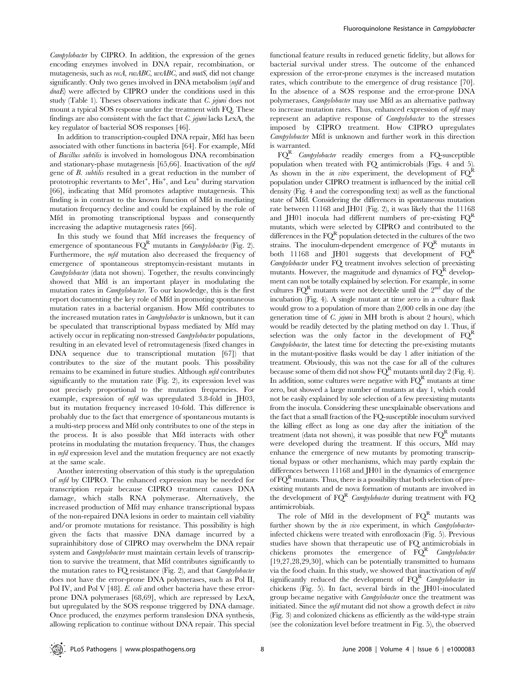Campylobacter by CIPRO. In addition, the expression of the genes encoding enzymes involved in DNA repair, recombination, or mutagenesis, such as recA, ruvABC, uvrABC, and mutS, did not change significantly. Only two genes involved in DNA metabolism (mfd and dnaE) were affected by CIPRO under the conditions used in this study (Table 1). Theses observations indicate that C. jejuni does not mount a typical SOS response under the treatment with FQ. These findings are also consistent with the fact that  $C$ . jejuni lacks LexA, the key regulator of bacterial SOS responses [46].

In addition to transcription-coupled DNA repair, Mfd has been associated with other functions in bacteria [64]. For example, Mfd of Bacillus subtilis is involved in homologous DNA recombination and stationary-phase mutagenesis [65,66]. Inactivation of the mfd gene of B. subtilis resulted in a great reduction in the number of prototrophic revertants to Met<sup>+</sup>,  $\text{His}^+$ , and Leu<sup>+</sup> during starvation [66], indicating that Mfd promotes adaptive mutagenesis. This finding is in contrast to the known function of Mfd in mediating mutation frequency decline and could be explained by the role of Mfd in promoting transcriptional bypass and consequently increasing the adaptive mutagenesis rates [66].

In this study we found that Mfd increases the frequency of emergence of spontaneous  $FQ^R$  mutants in *Campylobacter* (Fig. 2). Furthermore, the *mfd* mutation also decreased the frequency of emergence of spontaneous streptomycin-resistant mutants in Campylobacter (data not shown). Together, the results convincingly showed that Mfd is an important player in modulating the mutation rates in *Campylobacter*. To our knowledge, this is the first report documenting the key role of Mfd in promoting spontaneous mutation rates in a bacterial organism. How Mfd contributes to the increased mutation rates in Campylobacter is unknown, but it can be speculated that transcriptional bypass mediated by Mfd may actively occur in replicating non-stressed Campylobacter populations, resulting in an elevated level of retromutagenesis (fixed changes in DNA sequence due to transcriptional mutation [67]) that contributes to the size of the mutant pools. This possibility remains to be examined in future studies. Although mfd contributes significantly to the mutation rate (Fig. 2), its expression level was not precisely proportional to the mutation frequencies. For example, expression of mfd was upregulated 3.8-fold in JH03, but its mutation frequency increased 10-fold. This difference is probably due to the fact that emergence of spontaneous mutants is a multi-step process and Mfd only contributes to one of the steps in the process. It is also possible that Mfd interacts with other proteins in modulating the mutation frequency. Thus, the changes in mfd expression level and the mutation frequency are not exactly at the same scale.

Another interesting observation of this study is the upregulation of mfd by CIPRO. The enhanced expression may be needed for transcription repair because CIPRO treatment causes DNA damage, which stalls RNA polymerase. Alternatively, the increased production of Mfd may enhance transcriptional bypass of the non-repaired DNA lesions in order to maintain cell viability and/or promote mutations for resistance. This possibility is high given the facts that massive DNA damage incurred by a suprainhibitory dose of CIPRO may overwhelm the DNA repair system and Campylobacter must maintain certain levels of transcription to survive the treatment, that Mfd contributes significantly to the mutation rates to FQ resistance (Fig. 2), and that Campylobacter does not have the error-prone DNA polymerases, such as Pol II, Pol IV, and Pol V [48]. E. coli and other bacteria have these errorprone DNA polymerases [68,69], which are repressed by LexA, but upregulated by the SOS response triggered by DNA damage. Once produced, the enzymes perform translesion DNA synthesis, allowing replication to continue without DNA repair. This special

functional feature results in reduced genetic fidelity, but allows for bacterial survival under stress. The outcome of the enhanced expression of the error-prone enzymes is the increased mutation rates, which contribute to the emergence of drug resistance [70]. In the absence of a SOS response and the error-prone DNA polymerases, Campylobacter may use Mfd as an alternative pathway to increase mutation rates. Thus, enhanced expression of mfd may represent an adaptive response of Campylobacter to the stresses imposed by CIPRO treatment. How CIPRO upregulates Campylobacter Mfd is unknown and further work in this direction is warranted.

 $\mathrm{FO}^\mathrm{R}$  Campylobacter readily emerges from a FQ-susceptible population when treated with FQ antimicrobials (Figs. 4 and 5). As shown in the in vitro experiment, the development of  $FO^R$ population under CIPRO treatment is influenced by the initial cell density (Fig. 4 and the corresponding text) as well as the functional state of Mfd. Considering the differences in spontaneous mutation rate between 11168 and JH01 (Fig. 2), it was likely that the 11168 and JH01 inocula had different numbers of pre-existing  $FQ<sup>R</sup>$ mutants, which were selected by CIPRO and contributed to the differences in the  $FQ^R$  population detected in the cultures of the two strains. The inoculum-dependent emergence of  $FQ<sup>R</sup>$  mutants in both 11168 and JH01 suggests that development of  $FQ<sup>R</sup>$ Campylobacter under FQ treatment involves selection of preexisting mutants. However, the magnitude and dynamics of  $FQ^R$  development can not be totally explained by selection. For example, in some cultures  $FQ^R$  mutants were not detectible until the  $2^{nd}$  day of the incubation (Fig. 4). A single mutant at time zero in a culture flask would grow to a population of more than 2,000 cells in one day (the generation time of *C. jejuni* in MH broth is about 2 hours), which would be readily detected by the plating method on day 1. Thus, if selection was the only factor in the development of  $FQ<sup>R</sup>$ Campylobacter, the latest time for detecting the pre-existing mutants in the mutant-positive flasks would be day 1 after initiation of the treatment. Obviously, this was not the case for all of the cultures because some of them did not show  $FQ^R$  mutants until day 2 (Fig. 4). In addition, some cultures were negative with  $FQ<sup>R</sup>$  mutants at time zero, but showed a large number of mutants at day 1, which could not be easily explained by sole selection of a few preexisting mutants from the inocula. Considering these unexplainable observations and the fact that a small fraction of the FQ-susceptible inoculum survived the killing effect as long as one day after the initiation of the treatment (data not shown), it was possible that new  $FQ<sup>R</sup>$  mutants were developed during the treatment. If this occurs, Mfd may enhance the emergence of new mutants by promoting transcriptional bypass or other mechanisms, which may partly explain the differences between 11168 and JH01 in the dynamics of emergence of  $FQ<sup>R</sup>$  mutants. Thus, there is a possibility that both selection of preexisting mutants and de nova formation of mutants are involved in the development of  $FQ^R$  Campylobacter during treatment with  $FQ$ antimicrobials.

The role of Mfd in the development of  $FQ<sup>R</sup>$  mutants was further shown by the in vivo experiment, in which Campylobacterinfected chickens were treated with enrofloxacin (Fig. 5). Previous studies have shown that therapeutic use of FQ antimicrobials in chickens promotes the emergence of  $FQ<sup>R</sup>$  Campylobacter [19,27,28,29,30], which can be potentially transmitted to humans via the food chain. In this study, we showed that inactivation of mfd significantly reduced the development of  $FQ^R$  Campylobacter in chickens (Fig. 5). In fact, several birds in the JH01-inoculated group became negative with *Campylobacter* once the treatment was initiated. Since the mfd mutant did not show a growth defect in vitro (Fig. 3) and colonized chickens as efficiently as the wild-type strain (see the colonization level before treatment in Fig. 5), the observed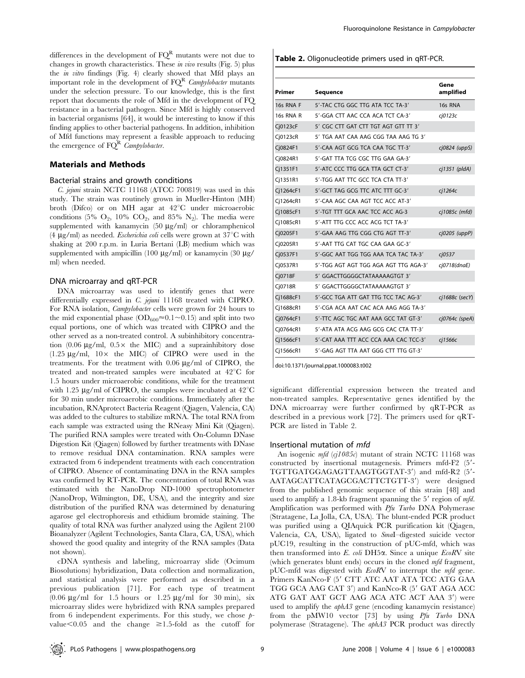differences in the development of  $FQ<sup>R</sup>$  mutants were not due to changes in growth characteristics. These in vivo results (Fig. 5) plus the in vitro findings (Fig. 4) clearly showed that Mfd plays an important role in the development of  $FQ<sup>R</sup>$  Campylobacter mutants under the selection pressure. To our knowledge, this is the first report that documents the role of Mfd in the development of FQ resistance in a bacterial pathogen. Since Mfd is highly conserved in bacterial organisms [64], it would be interesting to know if this finding applies to other bacterial pathogens. In addition, inhibition of Mfd functions may represent a feasible approach to reducing the emergence of  $FQ^R$  Campylobacter.

# Materials and Methods

#### Bacterial strains and growth conditions

C. jejuni strain NCTC 11168 (ATCC 700819) was used in this study. The strain was routinely grown in Mueller-Hinton (MH) broth (Difco) or on MH agar at  $42^{\circ}$ C under microaerobic conditions (5%  $O_2$ , 10%  $CO_2$ , and 85% N<sub>2</sub>). The media were supplemented with kanamycin  $(50 \mu g/ml)$  or chloramphenicol (4  $\mu$ g/ml) as needed. *Escherichia coli* cells were grown at 37<sup>°</sup>C with shaking at 200 r.p.m. in Luria Bertani (LB) medium which was supplemented with ampicillin (100  $\mu$ g/ml) or kanamycin (30  $\mu$ g/ ml) when needed.

#### DNA microarray and qRT-PCR

DNA microarray was used to identify genes that were differentially expressed in C. jejuni 11168 treated with CIPRO. For RNA isolation, *Campylobacter* cells were grown for 24 hours to the mid exponential phase  $(OD_{600} \approx 0.1 \sim 0.15)$  and split into two equal portions, one of which was treated with CIPRO and the other served as a non-treated control. A subinhibitory concentration (0.06  $\mu$ g/ml, 0.5 $\times$  the MIC) and a suprainhibitory dose  $(1.25 \text{ µg/ml}, 10 \times \text{ the MIC})$  of CIPRO were used in the treatments. For the treatment with  $0.06 \mu g/ml$  of CIPRO, the treated and non-treated samples were incubated at  $42^{\circ}$ C for 1.5 hours under microaerobic conditions, while for the treatment with 1.25  $\mu$ g/ml of CIPRO, the samples were incubated at 42<sup>°</sup>C for 30 min under microaerobic conditions. Immediately after the incubation, RNAprotect Bacteria Reagent (Qiagen, Valencia, CA) was added to the cultures to stabilize mRNA. The total RNA from each sample was extracted using the RNeasy Mini Kit (Qiagen). The purified RNA samples were treated with On-Column DNase Digestion Kit (Qiagen) followed by further treatments with DNase to remove residual DNA contamination. RNA samples were extracted from 6 independent treatments with each concentration of CIPRO. Absence of contaminating DNA in the RNA samples was confirmed by RT-PCR. The concentration of total RNA was estimated with the NanoDrop ND-1000 spectrophotometer (NanoDrop, Wilmington, DE, USA), and the integrity and size distribution of the purified RNA was determined by denaturing agarose gel electrophoresis and ethidium bromide staining. The quality of total RNA was further analyzed using the Agilent 2100 Bioanalyzer (Agilent Technologies, Santa Clara, CA, USA), which showed the good quality and integrity of the RNA samples (Data not shown).

cDNA synthesis and labeling, microarray slide (Ocimum Biosolutions) hybridization, Data collection and normalization, and statistical analysis were performed as described in a previous publication [71]. For each type of treatment  $(0.06 \text{ µg/ml}$  for 1.5 hours or 1.25  $\mu$ g/ml for 30 min), six microarray slides were hybridized with RNA samples prepared from 6 independent experiments. For this study, we chose  $p$ value $< 0.05$  and the change  $\geq 1.5$ -fold as the cutoff for

Table 2. Oligonucleotide primers used in qRT-PCR.

| Primer    | <b>Sequence</b>                       | Gene<br>amplified |
|-----------|---------------------------------------|-------------------|
| 16s RNA F | 5'-TAC CTG GGC TTG ATA TCC TA-3'      | 16s RNA           |
| 16s RNA R | 5'-GGA CTT AAC CCA ACA TCT CA-3'      | ci0123c           |
| Cj0123cF  | 5' CGC CTT GAT CTT TGT AGT GTT TT 3'  |                   |
| Cj0123cR  | 5' TGA AAT CAA AAG CGG TAA AAG TG 3'  |                   |
| Cj0824F1  | 5'-CAA AGT GCG TCA CAA TGC TT-3'      | cj0824 (uppS)     |
| Cj0824R1  | 5'-GAT TTA TCG CGC TTG GAA GA-3'      |                   |
| Cj1351F1  | 5'-ATC CCC TTG GCA TTA GCT CT-3'      | $cj1351$ (pldA)   |
| Cj1351R1  | 5'-TGG AAT TTC GCC TCA CTA TT-3'      |                   |
| Cj1264cF1 | 5'-GCT TAG GCG TTC ATC TTT GC-3'      | ci1264c           |
| Cj1264cR1 | 5'-CAA AGC CAA AGT TCC ACC AT-3'      |                   |
| Cj1085cF1 | 5'-TGT TTT GCA AAC TCC ACC AG-3       | cj1085c (mfd)     |
| Cj1085cR1 | 5'-ATT TTG CCC ACC ACG TCT TA-3'      |                   |
| Cj0205F1  | 5'-GAA AAG TTG CGG CTG AGT TT-3'      | cj0205 (uppP)     |
| Cj0205R1  | 5'-AAT TTG CAT TGC CAA GAA GC-3'      |                   |
| Cj0537F1  | 5'-GGC AAT TGG TGG AAA TCA TAC TA-3'  | cj0537            |
| Cj0537R1  | 5'-TGG AGT AGT TGG AGA AGT TTG AGA-3' | cj0718(dnaE)      |
| Cj0718F   | 5' GGACTTGGGGCTATAAAAAGTGT 3'         |                   |
| Cj0718R   | 5' GGACTTGGGGCTATAAAAAGTGT 3'         |                   |
| Cj1688cF1 | 5'-GCC TGA ATT GAT TTG TCC TAC AG-3'  | cj1688c (secY)    |
| Cj1688cR1 | 5'-CGA ACA AAT CAC ACA AAG AGG TA-3'  |                   |
| Cj0764cF1 | 5'-TTC AGC TGC AAT AAA GCC TAT GT-3'  | cj0764c (speA)    |
| Cj0764cR1 | 5'-ATA ATA ACG AAG GCG CAC CTA TT-3'  |                   |
| Cj1566cF1 | 5'-CAT AAA TTT ACC CCA AAA CAC TCC-3' | cj1566c           |
| Cj1566cR1 | 5'-GAG AGT TTA AAT GGG CTT TTG GT-3'  |                   |

doi:10.1371/journal.ppat.1000083.t002

significant differential expression between the treated and non-treated samples. Representative genes identified by the DNA microarray were further confirmed by qRT-PCR as described in a previous work [72]. The primers used for qRT-PCR are listed in Table 2.

#### Insertional mutation of mfd

An isogenic  $mfd$  (cj1085c) mutant of strain NCTC 11168 was constructed by insertional mutagenesis. Primers mfd-F2  $(5'$ -TGTTGATGGAGAGTTAAGTGGTAT-3') and mfd-R2 (5'-AATAGCATTCATAGCGACTTCTGTT-3') were designed from the published genomic sequence of this strain [48] and used to amplify a 1.8-kb fragment spanning the  $5'$  region of mfd. Amplification was performed with Pfu Turbo DNA Polymerase (Stratagene, La Jolla, CA, USA). The blunt-ended PCR product was purified using a QIAquick PCR purification kit (Qiagen, Valencia, CA, USA), ligated to SmaI–digested suicide vector pUC19, resulting in the construction of pUC-mfd, which was then transformed into E. coli DH5*a*. Since a unique EcoRV site (which generates blunt ends) occurs in the cloned mfd fragment, pUC-mfd was digested with  $E \circ R$ V to interrupt the mfd gene. Primers KanNco-F (5' CTT ATC AAT ATA TCC ATG GAA TGG GCA AAG CAT 3') and KanNco-R (5' GAT AGA ACC ATG GAT AAT GCT AAG ACA ATC ACT AAA 3') were used to amplify the aphA3 gene (encoding kanamycin resistance) from the pMW10 vector [73] by using Pfu Turbo DNA polymerase (Stratagene). The aphA3 PCR product was directly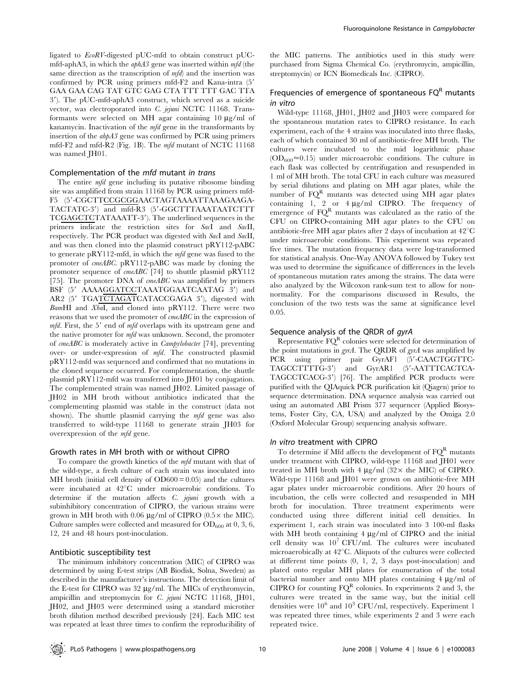ligated to EcoRV-digested pUC-mfd to obtain construct pUCmfd-aphA3, in which the  $\alpha$ phA3 gene was inserted within mfd (the same direction as the transcription of  $mfd$  and the insertion was confirmed by PCR using primers mfd-F2 and Kana-intra (5' GAA GAA CAG TAT GTC GAG CTA TTT TTT GAC TTA 3'). The pUC-mfd-aphA3 construct, which served as a suicide vector, was electroporated into C. jejuni NCTC 11168. Transformants were selected on MH agar containing 10  $\mu$ g/ml of kanamycin. Inactivation of the mfd gene in the transformants by insertion of the ahpA3 gene was confirmed by PCR using primers mfd-F2 and mfd-R2 (Fig. 1B). The mfd mutant of NCTC 11168 was named JH01.

## Complementation of the mfd mutant in trans

The entire *mfd* gene including its putative ribosome binding site was amplified from strain 11168 by PCR using primers mfd-F5 (5'-CGCTTCCGCGGAACTAGTAAAATTAAAGAAGA-TACTATC-3') and mfd-R3 (5'-GGCTTTAAATAATCTTT TCGAGCTCTATAAATT-3'). The underlined sequences in the primers indicate the restriction sites for SacI and SacII, respectively. The PCR product was digested with SacI and SacII, and was then cloned into the plasmid construct pRY112-pABC to generate pRY112-mfd, in which the  $mfd$  gene was fused to the promoter of cmeABC. pRY112-pABC was made by cloning the promoter sequence of cmeABC [74] to shuttle plasmid pRY112 [75]. The promoter DNA of cmeABC was amplified by primers BSF (5' AAAAGGATCCTAAATGGAATCAATAG 3') and AR2 (5' TGATCTAGATCATACCGAGA 3'), digested with BamHI and XbaI, and cloned into pRY112. There were two reasons that we used the promoter of cmeABC in the expression of  $mfd$ . First, the 5' end of  $mfd$  overlaps with its upstream gene and the native promoter for mfd was unknown. Second, the promoter of cmeABC is moderately active in Campylobacter [74], preventing over- or under-expression of mfd. The constructed plasmid pRY112-mfd was sequenced and confirmed that no mutations in the cloned sequence occurred. For complementation, the shuttle plasmid pRY112-mfd was transferred into JH01 by conjugation. The complemented strain was named JH02. Limited passage of JH02 in MH broth without antibiotics indicated that the complementing plasmid was stable in the construct (data not shown). The shuttle plasmid carrying the mfd gene was also transferred to wild-type 11168 to generate strain JH03 for overexpression of the mfd gene.

#### Growth rates in MH broth with or without CIPRO

To compare the growth kinetics of the mfd mutant with that of the wild-type, a fresh culture of each strain was inoculated into MH broth (initial cell density of  $OD600 = 0.05$ ) and the cultures were incubated at 42°C under microaerobic conditions. To determine if the mutation affects C. jejuni growth with a subinhibitory concentration of CIPRO, the various strains were grown in MH broth with 0.06  $\mu$ g/ml of CIPRO (0.5 $\times$  the MIC). Culture samples were collected and measured for  $OD_{600}$  at 0, 3, 6, 12, 24 and 48 hours post-inoculation.

#### Antibiotic susceptibility test

The minimum inhibitory concentration (MIC) of CIPRO was determined by using E-test strips (AB Biodisk, Solna, Sweden) as described in the manufacturer's instructions. The detection limit of the E-test for CIPRO was  $32 \mu g/ml$ . The MICs of erythromycin, ampicillin and streptomycin for C. jejuni NCTC 11168, JH01, JH02, and JH03 were determined using a standard microtiter broth dilution method described previously [24]. Each MIC test was repeated at least three times to confirm the reproducibility of the MIC patterns. The antibiotics used in this study were purchased from Sigma Chemical Co. (erythromycin, ampicillin, streptomycin) or ICN Biomedicals Inc. (CIPRO).

# Frequencies of emergence of spontaneous  $FQ<sup>R</sup>$  mutants in vitro

Wild-type 11168, JH01, JH02 and JH03 were compared for the spontaneous mutation rates to CIPRO resistance. In each experiment, each of the 4 strains was inoculated into three flasks, each of which contained 30 ml of antibiotic-free MH broth. The cultures were incubated to the mid logarithmic phase  $(OD<sub>600</sub> \approx 0.15)$  under microaerobic conditions. The culture in each flask was collected by centrifugation and resuspended in 1 ml of MH broth. The total CFU in each culture was measured by serial dilutions and plating on MH agar plates, while the number of  $FQ<sup>R</sup>$  mutants was detected using MH agar plates containing  $1, 2$  or  $4 \mu g/ml$  CIPRO. The frequency of emergence of  $FQ^R$  mutants was calculated as the ratio of the CFU on CIPRO-containing MH agar plates to the CFU on antibiotic-free MH agar plates after 2 days of incubation at  $42^{\circ}$ C under microaerobic conditions. This experiment was repeated five times. The mutation frequency data were log-transformed for statistical analysis. One-Way ANOVA followed by Tukey test was used to determine the significance of differences in the levels of spontaneous mutation rates among the strains. The data were also analyzed by the Wilcoxon rank-sum test to allow for nonnormality. For the comparisons discussed in Results, the conclusion of the two tests was the same at significance level 0.05.

# Sequence analysis of the QRDR of gyrA

Representative  $FQ^R$  colonies were selected for determination of the point mutations in  $gyrA$ . The QRDR of  $gyrA$  was amplified by PCR using primer pair GyrAF1 (5'-CAACTGGTTC-TAGCCTTTTG-3') and GyrAR1 (5'-AATTTCACTCA-TAGCCTCACG-3') [76]. The amplified PCR products were purified with the QIAquick PCR purification kit (Qiagen) prior to sequence determination. DNA sequence analysis was carried out using an automated ABI Prism 377 sequencer (Applied Biosystems, Foster City, CA, USA) and analyzed by the Omiga 2.0 (Oxford Molecular Group) sequencing analysis software.

## In vitro treatment with CIPRO

To determine if Mfd affects the development of  $FQ<sup>R</sup>$  mutants under treatment with CIPRO, wild-type 11168 and JH01 were treated in MH broth with  $4 \mu$ g/ml (32 $\times$  the MIC) of CIPRO. Wild-type 11168 and JH01 were grown on antibiotic-free MH agar plates under microaerobic conditions. After 20 hours of incubation, the cells were collected and resuspended in MH broth for inoculation. Three treatment experiments were conducted using three different initial cell densities. In experiment 1, each strain was inoculated into 3 100-ml flasks with MH broth containing  $4 \mu g/ml$  of CIPRO and the initial cell density was  $10^7$  CFU/ml. The cultures were incubated microaerobically at  $42^{\circ}$ C. Aliquots of the cultures were collected at different time points (0, 1, 2, 3 days post-inoculation) and plated onto regular MH plates for enumeration of the total bacterial number and onto MH plates containing  $4 \mu g/ml$  of CIPRO for counting  $FQ^R$  colonies. In experiments 2 and 3, the cultures were treated in the same way, but the initial cell densities were  $10^6$  and  $10^3$  CFU/ml, respectively. Experiment 1 was repeated three times, while experiments 2 and 3 were each repeated twice.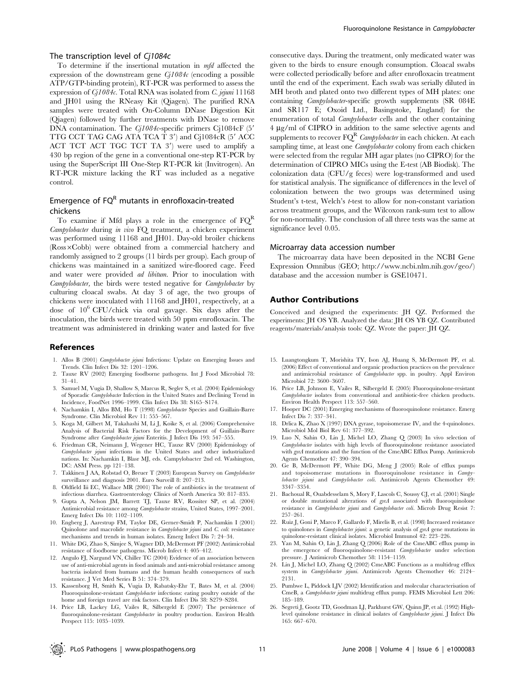## The transcription level of Cj1084c

To determine if the insertional mutation in mfd affected the expression of the downstream gene  $C_l1084c$  (encoding a possible ATP/GTP-binding protein), RT-PCR was performed to assess the expression of  $C_l1084c$ . Total RNA was isolated from C. jejuni 11168 and JH01 using the RNeasy Kit (Qiagen). The purified RNA samples were treated with On-Column DNase Digestion Kit (Qiagen) followed by further treatments with DNase to remove DNA contamination. The  $C_l1084c$ -specific primers C<sub>1</sub>1084cF (5') TTG CCT TAG CAG ATA TCA T  $3'$ ) and C<sub>1</sub>1084cR ( $5'$  ACC ACT TCT ACT TGC TCT TA  $3'$ ) were used to amplify a 430 bp region of the gene in a conventional one-step RT-PCR by using the SuperScript III One-Step RT-PCR kit (Invitrogen). An RT-PCR mixture lacking the RT was included as a negative control.

# Emergence of  $FQ<sup>R</sup>$  mutants in enrofloxacin-treated chickens

To examine if Mfd plays a role in the emergence of  $FQ^R$ Campylobacter during in vivo FQ treatment, a chicken experiment was performed using 11168 and JH01. Day-old broiler chickens  $(Ross\times Cobb)$  were obtained from a commercial hatchery and randomly assigned to 2 groups (11 birds per group). Each group of chickens was maintained in a sanitized wire-floored cage. Feed and water were provided *ad libitum*. Prior to inoculation with Campylobacter, the birds were tested negative for Campylobacter by culturing cloacal swabs. At day 3 of age, the two groups of chickens were inoculated with 11168 and JH01, respectively, at a dose of 106 CFU/chick via oral gavage. Six days after the inoculation, the birds were treated with 50 ppm enrofloxacin. The treatment was administered in drinking water and lasted for five

#### References

- 1. Allos B (2001) Campylobacter jejuni Infections: Update on Emerging Issues and Trends. Clin Infect Dis 32: 1201–1206.
- 2. Tauxe RV (2002) Emerging foodborne pathogens. Int J Food Microbiol 78: 31–41.
- 3. Samuel M, Vugia D, Shallow S, Marcus R, Segler S, et al. (2004) Epidemiology of Sporadic Campylobacter Infection in the United States and Declining Trend in Incidence, FoodNet 1996–1999. Clin Infect Dis 38: S165–S174.
- 4. Nachamkin I, Allos BM, Ho T (1998) Campylobacter Species and Guillain-Barre Syndrome. Clin Microbiol Rev 11: 555–567.
- 5. Koga M, Gilbert M, Takahashi M, Li J, Koike S, et al. (2006) Comprehensive Analysis of Bacterial Risk Factors for the Development of Guillain-Barre Syndrome after Campylobacter jejuni Enteritis. J Infect Dis 193: 547-555.
- 6. Friedman CR, Neimann J, Wegener HC, Tauxe RV (2000) Epidemiology of Campylobacter jejuni infections in the United States and other industrialized nations. In: Nachamkin I, Blasr MJ, eds. Campylobacter 2nd ed. Washington, DC: ASM Press. pp 121–138.
- 7. Takkinen J AA, Robstad O, Breuer T (2003) European Survey on Campylobacter surveillance and diagnosis 2001. Euro Surveill 8: 207–213.
- 8. Oldfield Iii EC, Wallace MR (2001) The role of antibiotics in the treatment of infectious diarrhea. Gastroenterology Clinics of North America 30: 817–835.
- 9. Gupta A, Nelson JM, Barrett TJ, Tauxe RV, Rossiter SP, et al. (2004) Antimicrobial resistance among Campylobacter strains, United States, 1997–2001. Emerg Infect Dis 10: 1102–1109.
- 10. Engberg J, Aarestrup FM, Taylor DE, Gerner-Smidt P, Nachamkin I (2001) Quinolone and macrolide resistance in Campylobacter jejuni and C. coli: resistance mechanisms and trends in human isolates. Emerg Infect Dis 7: 24–34.
- 11. White DG, Zhao S, Simjee S, Wagner DD, McDermott PF (2002) Antimicrobial resistance of foodborne pathogens. Microb Infect 4: 405–412.
- 12. Angulo FJ, Nargund VN, Chiller TC (2004) Evidence of an association between use of anti-microbial agents in food animals and anti-microbial resistance among bacteria isolated from humans and the human health consequences of such resistance. J Vet Med Series B 51: 374–379.
- 13. Kassenborg H, Smith K, Vugia D, Rabatsky-Ehr T, Bates M, et al. (2004) Fluoroquinolone-resistant Campylobacter infections: eating poultry outside of the home and foreign travel are risk factors. Clin Infect Dis 38: S279–S284.
- 14. Price LB, Lackey LG, Vailes R, Silbergeld E (2007) The persistence of fluoroquinolone-resistant Campylobacter in poultry production. Environ Health Perspect 115: 1035–1039.

consecutive days. During the treatment, only medicated water was given to the birds to ensure enough consumption. Cloacal swabs were collected periodically before and after enrofloxacin treatment until the end of the experiment. Each swab was serially diluted in MH broth and plated onto two different types of MH plates: one containing Campylobacter-specific growth supplements (SR 084E and SR117 E; Oxoid Ltd., Basingstoke, England) for the enumeration of total *Campylobacter* cells and the other containing 4 µg/ml of CIPRO in addition to the same selective agents and supplements to recover  $FO^R$  Campylobacter in each chicken. At each sampling time, at least one *Campylobacter* colony from each chicken were selected from the regular MH agar plates (no CIPRO) for the determination of CIPRO MICs using the E-test (AB Biodisk). The colonization data (CFU/g feces) were log-transformed and used for statistical analysis. The significance of differences in the level of colonization between the two groups was determined using Student's t-test, Welch's t-test to allow for non-constant variation across treatment groups, and the Wilcoxon rank-sum test to allow for non-normality. The conclusion of all three tests was the same at significance level 0.05.

#### Microarray data accession number

The microarray data have been deposited in the NCBI Gene Expression Omnibus (GEO; http://www.ncbi.nlm.nih.gov/geo/) database and the accession number is GSE10471.

## Author Contributions

Conceived and designed the experiments: JH QZ. Performed the experiments: JH OS YB. Analyzed the data: JH OS YB QZ. Contributed reagents/materials/analysis tools: QZ. Wrote the paper: JH QZ.

- 15. Luangtongkum T, Morishita TY, Ison AJ, Huang S, McDermott PF, et al. (2006) Effect of conventional and organic production practices on the prevalence and antimicrobial resistance of Campylobacter spp. in poultry. Appl Environ Microbiol 72: 3600–3607.
- 16. Price LB, Johnson E, Vailes R, Silbergeld E (2005) Fluoroquinolone-resistant Campylobacter isolates from conventional and antibiotic-free chicken products. Environ Health Perspect 113: 557–560.
- 17. Hooper DC (2001) Emerging mechanisms of fluoroquinolone resistance. Emerg Infect Dis 7: 337–341.
- 18. Drlica K, Zhao X (1997) DNA gyrase, topoisomerase IV, and the 4-quinolones. Microbiol Mol Biol Rev 61: 377–392.
- 19. Luo N, Sahin O, Lin J, Michel LO, Zhang Q (2003) In vivo selection of Campylobacter isolates with high levels of fluoroquinolone resistance associated with gyrA mutations and the function of the CmeABC Efflux Pump. Antimicrob Agents Chemother 47: 390–394.
- 20. Ge B, McDermott PF, White DG, Meng J (2005) Role of efflux pumps and topoisomerase mutations in fluoroquinolone resistance in Campylobacter jejuni and Campylobacter coli. Antimicrob Agents Chemother 49: 3347–3354.
- 21. Bachoual R, Ouabdesselam S, Mory F, Lascols C, Soussy CJ, et al. (2001) Single or double mutational alterations of gyrA associated with fluoroquinolone resistance in Campylobacter jejuni and Campylobacter coli. Microb Drug Resist 7: 257–261.
- 22. Ruiz J, Goni P, Marco F, Gallardo F, Mirelis B, et al. (1998) Increased resistance to quinolones in *Campylobacter jejuni*: a genetic analysis of gyrA gene mutations in quinolone-resistant clinical isolates. Microbiol Immunol 42: 223–226.
- 23. Yan M, Sahin O, Lin J, Zhang Q (2006) Role of the CmeABC efflux pump in the emergence of fluoroquinolone-resistant Campylobacter under selection pressure. J Antimicrob Chemother 58: 1154–1159.
- 24. Lin J, Michel LO, Zhang Q (2002) CmeABC Functions as a multidrug efflux system in Campylobacter jejuni. Antimicrob Agents Chemother 46: 2124– 2131.
- 25. Pumbwe L, Piddock LJV (2002) Identification and molecular characterisation of CmeB, a Campylobacter jejuni multidrug efflux pump. FEMS Microbiol Lett 206: 185–189.
- 26. Segreti J, Gootz TD, Goodman LJ, Parkhurst GW, Quinn JP, et al. (1992) Highlevel quinolone resistance in clinical isolates of Campylobacter jejuni. J Infect Dis 165: 667–670.